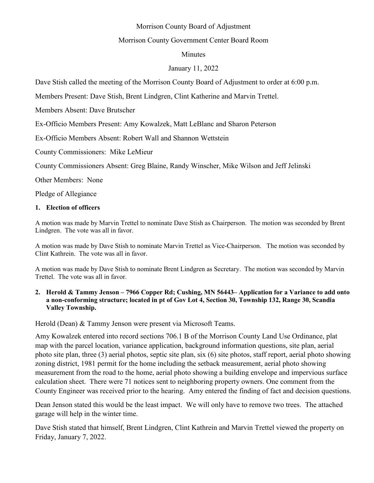# Morrison County Board of Adjustment

# Morrison County Government Center Board Room

### Minutes

### January 11, 2022

Dave Stish called the meeting of the Morrison County Board of Adjustment to order at 6:00 p.m.

Members Present: Dave Stish, Brent Lindgren, Clint Katherine and Marvin Trettel.

Members Absent: Dave Brutscher

Ex-Officio Members Present: Amy Kowalzek, Matt LeBlanc and Sharon Peterson

Ex-Officio Members Absent: Robert Wall and Shannon Wettstein

County Commissioners: Mike LeMieur

County Commissioners Absent: Greg Blaine, Randy Winscher, Mike Wilson and Jeff Jelinski

Other Members: None

Pledge of Allegiance

### **1. Election of officers**

A motion was made by Marvin Trettel to nominate Dave Stish as Chairperson. The motion was seconded by Brent Lindgren. The vote was all in favor.

A motion was made by Dave Stish to nominate Marvin Trettel as Vice-Chairperson. The motion was seconded by Clint Kathrein. The vote was all in favor.

A motion was made by Dave Stish to nominate Brent Lindgren as Secretary. The motion was seconded by Marvin Trettel. The vote was all in favor.

#### **2. Herold & Tammy Jenson – 7966 Copper Rd; Cushing, MN 56443– Application for a Variance to add onto a non-conforming structure; located in pt of Gov Lot 4, Section 30, Township 132, Range 30, Scandia Valley Township.**

Herold (Dean) & Tammy Jenson were present via Microsoft Teams.

Amy Kowalzek entered into record sections 706.1 B of the Morrison County Land Use Ordinance, plat map with the parcel location, variance application, background information questions, site plan, aerial photo site plan, three (3) aerial photos, septic site plan, six (6) site photos, staff report, aerial photo showing zoning district, 1981 permit for the home including the setback measurement, aerial photo showing measurement from the road to the home, aerial photo showing a building envelope and impervious surface calculation sheet. There were 71 notices sent to neighboring property owners. One comment from the County Engineer was received prior to the hearing. Amy entered the finding of fact and decision questions.

Dean Jenson stated this would be the least impact. We will only have to remove two trees. The attached garage will help in the winter time.

Dave Stish stated that himself, Brent Lindgren, Clint Kathrein and Marvin Trettel viewed the property on Friday, January 7, 2022.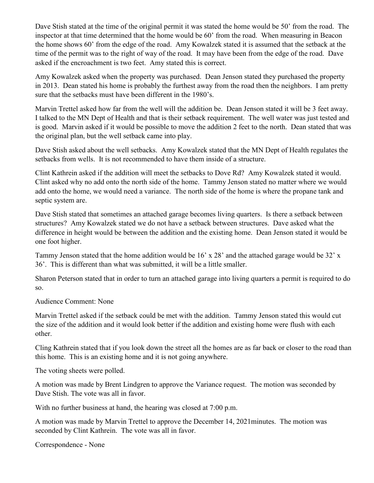Dave Stish stated at the time of the original permit it was stated the home would be 50' from the road. The inspector at that time determined that the home would be 60' from the road. When measuring in Beacon the home shows 60' from the edge of the road. Amy Kowalzek stated it is assumed that the setback at the time of the permit was to the right of way of the road. It may have been from the edge of the road. Dave asked if the encroachment is two feet. Amy stated this is correct.

Amy Kowalzek asked when the property was purchased. Dean Jenson stated they purchased the property in 2013. Dean stated his home is probably the furthest away from the road then the neighbors. I am pretty sure that the setbacks must have been different in the 1980's.

Marvin Trettel asked how far from the well will the addition be. Dean Jenson stated it will be 3 feet away. I talked to the MN Dept of Health and that is their setback requirement. The well water was just tested and is good. Marvin asked if it would be possible to move the addition 2 feet to the north. Dean stated that was the original plan, but the well setback came into play.

Dave Stish asked about the well setbacks. Amy Kowalzek stated that the MN Dept of Health regulates the setbacks from wells. It is not recommended to have them inside of a structure.

Clint Kathrein asked if the addition will meet the setbacks to Dove Rd? Amy Kowalzek stated it would. Clint asked why no add onto the north side of the home. Tammy Jenson stated no matter where we would add onto the home, we would need a variance. The north side of the home is where the propane tank and septic system are.

Dave Stish stated that sometimes an attached garage becomes living quarters. Is there a setback between structures? Amy Kowalzek stated we do not have a setback between structures. Dave asked what the difference in height would be between the addition and the existing home. Dean Jenson stated it would be one foot higher.

Tammy Jenson stated that the home addition would be 16' x 28' and the attached garage would be 32' x 36'. This is different than what was submitted, it will be a little smaller.

Sharon Peterson stated that in order to turn an attached garage into living quarters a permit is required to do so.

Audience Comment: None

Marvin Trettel asked if the setback could be met with the addition. Tammy Jenson stated this would cut the size of the addition and it would look better if the addition and existing home were flush with each other.

Cling Kathrein stated that if you look down the street all the homes are as far back or closer to the road than this home. This is an existing home and it is not going anywhere.

The voting sheets were polled.

A motion was made by Brent Lindgren to approve the Variance request. The motion was seconded by Dave Stish. The vote was all in favor.

With no further business at hand, the hearing was closed at 7:00 p.m.

A motion was made by Marvin Trettel to approve the December 14, 2021minutes. The motion was seconded by Clint Kathrein. The vote was all in favor.

Correspondence - None